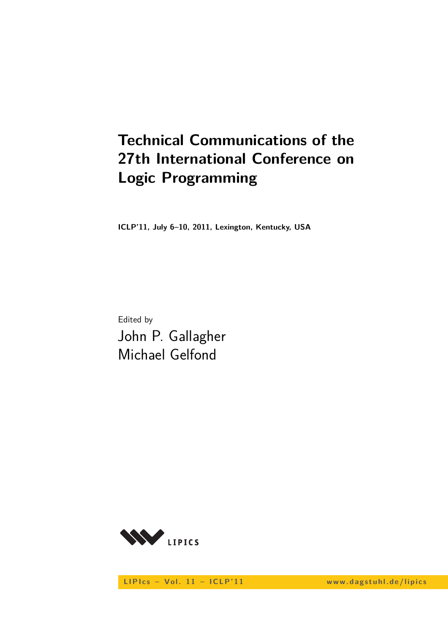# **Technical Communications of the 27th International Conference on Logic Programming**

**ICLP'11, July 6–10, 2011, Lexington, Kentucky, USA**

Edited by John P. Gallagher Michael Gelfond



LIPIcs - Vol. 11 - ICLP'11 www.dagstuhl.de/lipics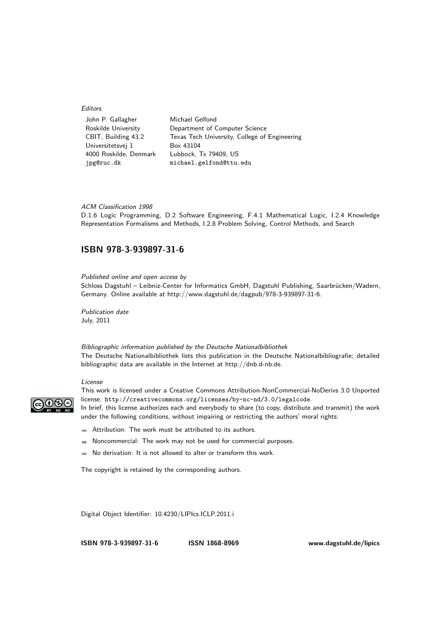#### Editors

| John P. Gallagher      | Michael Gelfond                               |
|------------------------|-----------------------------------------------|
| Roskilde University    | Department of Computer Science                |
| CBIT, Building 43.2    | Texas Tech University, College of Engineering |
| Universitetsvej 1      | Box 43104                                     |
| 4000 Roskilde, Denmark | Lubbock, Tx 79409, US                         |
| jpg@ruc.dk             | michael.gelfond@ttu.edu                       |

#### ACM Classification 1998

D.1.6 Logic Programming, D.2 Software Engineering, F.4.1 Mathematical Logic, I.2.4 Knowledge Representation Formalisms and Methods, I.2.8 Problem Solving, Control Methods, and Search

### **[ISBN 978-3-939897-31-6](http://www.dagstuhl.de/dagpub/978-3-939897-31-6)**

Published online and open access by

Schloss Dagstuhl – Leibniz-Center for Informatics GmbH, Dagstuhl Publishing, Saarbrücken/Wadern, Germany. Online available at [http://www.dagstuhl.de/dagpub/978-3-939897-31-6.](http://www.dagstuhl.de/dagpub/978-3-939897-31-6)

Publication date July, 2011

Bibliographic information published by the Deutsche Nationalbibliothek The Deutsche Nationalbibliothek lists this publication in the Deutsche Nationalbibliografie; detailed bibliographic data are available in the Internet at http://dnb.d-nb.de.

#### License



This work is licensed under a Creative Commons Attribution-NonCommercial-NoDerivs 3.0 Unported license: http://creativecommons.org/licenses/by-nc-nd/3.0/legalcode. In brief, this license authorizes each and everybody to share (to copy, distribute and transmit) the work under the following conditions, without impairing or restricting the authors' moral rights:

- Attribution: The work must be attributed to its authors. ω.
- Noncommercial: The work may not be used for commercial purposes.
- No derivation: It is not allowed to alter or transform this work.

The copyright is retained by the corresponding authors.

Digital Object Identifier: [10.4230/LIPIcs.ICLP.2011.i](http://dx.doi.org/10.4230/LIPIcs.ICLP.2011.i)

**[ISBN 978-3-939897-31-6](http://www.dagstuhl.de/dagpub/978-3-939897-31-6) ISSN 1868-8969 [www.dagstuhl.de/lipics](http://www.dagstuhl.de/lipics)**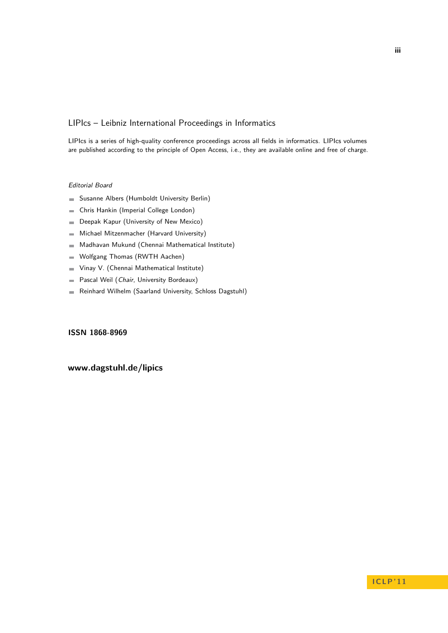## LIPIcs – Leibniz International Proceedings in Informatics

LIPIcs is a series of high-quality conference proceedings across all fields in informatics. LIPIcs volumes are published according to the principle of Open Access, i.e., they are available online and free of charge.

#### Editorial Board

- Susanne Albers (Humboldt University Berlin)
- Chris Hankin (Imperial College London)  $\overline{\phantom{a}}$
- Deepak Kapur (University of New Mexico)  $\blacksquare$
- Michael Mitzenmacher (Harvard University)  $\equiv$
- Madhavan Mukund (Chennai Mathematical Institute)  $\sim$
- Wolfgang Thomas (RWTH Aachen)  $\blacksquare$
- Vinay V. (Chennai Mathematical Institute)  $\blacksquare$
- Pascal Weil (Chair, University Bordeaux)  $\blacksquare$
- Reinhard Wilhelm (Saarland University, Schloss Dagstuhl)  $\sim$

### **ISSN 1868-8969**

## **[www.dagstuhl.de/lipics](http://www.dagstuhl.de/lipics)**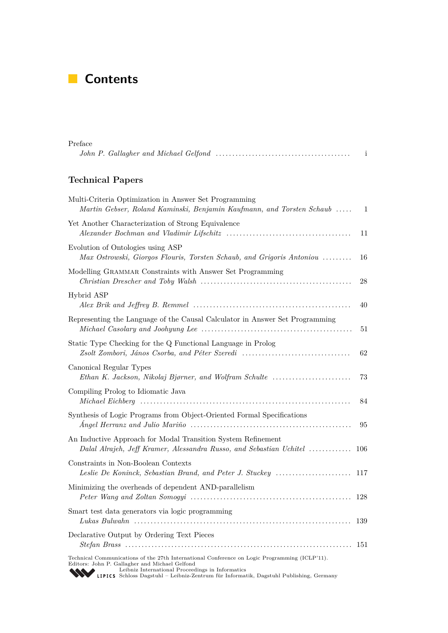## **Contents**

| Preface                                                                                                                             | $\mathbf{i}$ |
|-------------------------------------------------------------------------------------------------------------------------------------|--------------|
| <b>Technical Papers</b>                                                                                                             |              |
| Multi-Criteria Optimization in Answer Set Programming<br>Martin Gebser, Roland Kaminski, Benjamin Kaufmann, and Torsten Schaub      | -1           |
| Yet Another Characterization of Strong Equivalence                                                                                  | 11           |
| Evolution of Ontologies using ASP<br>Max Ostrowski, Giorgos Flouris, Torsten Schaub, and Grigoris Antoniou                          | 16           |
| Modelling GRAMMAR Constraints with Answer Set Programming                                                                           | 28           |
| Hybrid ASP                                                                                                                          | 40           |
| Representing the Language of the Causal Calculator in Answer Set Programming                                                        | 51           |
| Static Type Checking for the Q Functional Language in Prolog<br>Zsolt Zombori, János Csorba, and Péter Szeredi                      | 62           |
| Canonical Regular Types<br>Ethan K. Jackson, Nikolaj Bjørner, and Wolfram Schulte                                                   | 73           |
| Compiling Prolog to Idiomatic Java                                                                                                  | 84           |
| Synthesis of Logic Programs from Object-Oriented Formal Specifications                                                              | 95           |
| An Inductive Approach for Modal Transition System Refinement<br>Dalal Alrajeh, Jeff Kramer, Alessandra Russo, and Sebastian Uchitel | 106          |
| Constraints in Non-Boolean Contexts                                                                                                 |              |
| Minimizing the overheads of dependent AND-parallelism                                                                               | 128          |
| Smart test data generators via logic programming                                                                                    | 139          |
| Declarative Output by Ordering Text Pieces                                                                                          | -151         |
| Technical Communications of the 27th International Conference on Logic Programming (ICLP'11).                                       |              |

Technical Communications of the 27th International Conference on Logic Programming (ICLP'11).<br>Editors: John P. Gallagher and Michael Gelfond<br>[Leibniz International Proceedings in Informatics](http://www.dagstuhl.de/en/publications/lipics/)<br>LIPICS Schloss Dagstuhl – Leibni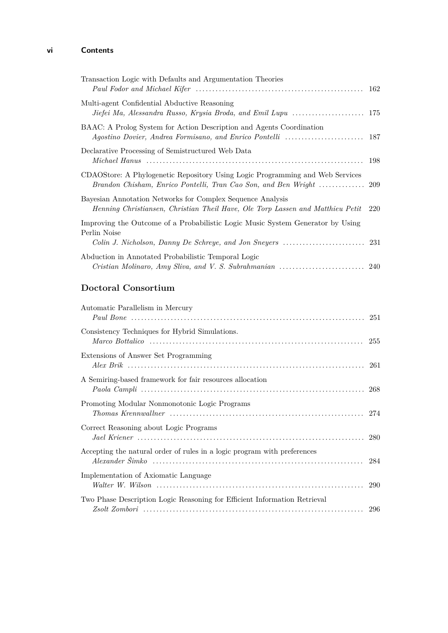## **vi Contents**

| Transaction Logic with Defaults and Argumentation Theories                                                                                       |     |
|--------------------------------------------------------------------------------------------------------------------------------------------------|-----|
| Multi-agent Confidential Abductive Reasoning                                                                                                     |     |
| BAAC: A Prolog System for Action Description and Agents Coordination                                                                             |     |
| Declarative Processing of Semistructured Web Data                                                                                                | 198 |
| CDAOStore: A Phylogenetic Repository Using Logic Programming and Web Services                                                                    |     |
| Bayesian Annotation Networks for Complex Sequence Analysis<br>Henning Christiansen, Christian Theil Have, Ole Torp Lassen and Matthieu Petit 220 |     |
| Improving the Outcome of a Probabilistic Logic Music System Generator by Using<br>Perlin Noise                                                   |     |
| Abduction in Annotated Probabilistic Temporal Logic                                                                                              |     |

## **Doctoral Consortium**

| Automatic Parallelism in Mercury                                          |  |
|---------------------------------------------------------------------------|--|
| Consistency Techniques for Hybrid Simulations.                            |  |
| Extensions of Answer Set Programming                                      |  |
| A Semiring-based framework for fair resources allocation                  |  |
| Promoting Modular Nonmonotonic Logic Programs                             |  |
| Correct Reasoning about Logic Programs                                    |  |
| Accepting the natural order of rules in a logic program with preferences  |  |
| Implementation of Axiomatic Language                                      |  |
| Two Phase Description Logic Reasoning for Efficient Information Retrieval |  |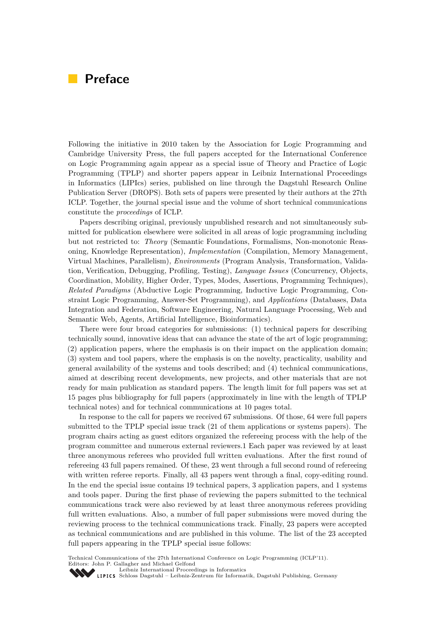## **Preface**

Following the initiative in 2010 taken by the Association for Logic Programming and Cambridge University Press, the full papers accepted for the International Conference on Logic Programming again appear as a special issue of Theory and Practice of Logic Programming (TPLP) and shorter papers appear in Leibniz International Proceedings in Informatics (LIPIcs) series, published on line through the Dagstuhl Research Online Publication Server (DROPS). Both sets of papers were presented by their authors at the 27th ICLP. Together, the journal special issue and the volume of short technical communications constitute the *proceedings* of ICLP.

Papers describing original, previously unpublished research and not simultaneously submitted for publication elsewhere were solicited in all areas of logic programming including but not restricted to: *Theory* (Semantic Foundations, Formalisms, Non-monotonic Reasoning, Knowledge Representation), *Implementation* (Compilation, Memory Management, Virtual Machines, Parallelism), *Environments* (Program Analysis, Transformation, Validation, Verification, Debugging, Profiling, Testing), *Language Issues* (Concurrency, Objects, Coordination, Mobility, Higher Order, Types, Modes, Assertions, Programming Techniques), *Related Paradigms* (Abductive Logic Programming, Inductive Logic Programming, Constraint Logic Programming, Answer-Set Programming), and *Applications* (Databases, Data Integration and Federation, Software Engineering, Natural Language Processing, Web and Semantic Web, Agents, Artificial Intelligence, Bioinformatics).

There were four broad categories for submissions: (1) technical papers for describing technically sound, innovative ideas that can advance the state of the art of logic programming; (2) application papers, where the emphasis is on their impact on the application domain; (3) system and tool papers, where the emphasis is on the novelty, practicality, usability and general availability of the systems and tools described; and (4) technical communications, aimed at describing recent developments, new projects, and other materials that are not ready for main publication as standard papers. The length limit for full papers was set at 15 pages plus bibliography for full papers (approximately in line with the length of TPLP technical notes) and for technical communications at 10 pages total.

In response to the call for papers we received 67 submissions. Of those, 64 were full papers submitted to the TPLP special issue track (21 of them applications or systems papers). The program chairs acting as guest editors organized the refereeing process with the help of the program committee and numerous external reviewers.1 Each paper was reviewed by at least three anonymous referees who provided full written evaluations. After the first round of refereeing 43 full papers remained. Of these, 23 went through a full second round of refereeing with written referee reports. Finally, all 43 papers went through a final, copy-editing round. In the end the special issue contains 19 technical papers, 3 application papers, and 1 systems and tools paper. During the first phase of reviewing the papers submitted to the technical communications track were also reviewed by at least three anonymous referees providing full written evaluations. Also, a number of full paper submissions were moved during the reviewing process to the technical communications track. Finally, 23 papers were accepted as technical communications and are published in this volume. The list of the 23 accepted full papers appearing in the TPLP special issue follows:

Technical Communications of the 27th International Conference on Logic Programming (ICLP'11). Editors: John P. Gallagher and Michael Gelfond

[Leibniz International Proceedings in Informatics](http://www.dagstuhl.de/en/publications/lipics/)

SCHLOSS Dagstuhl – Leibniz-Zentrum für Informatik, Dagstuhl Publishing, Germany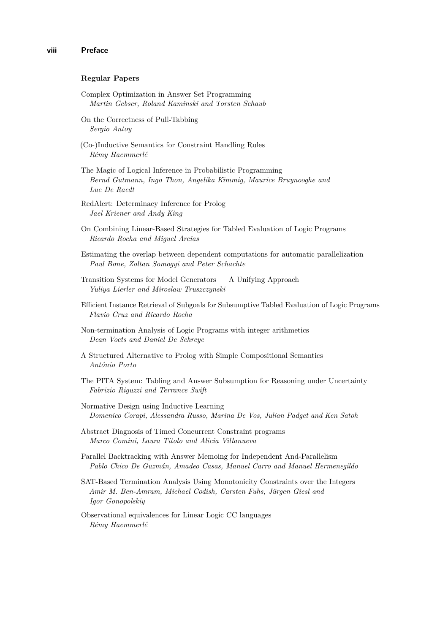#### **Regular Papers**

- Complex Optimization in Answer Set Programming *Martin Gebser, Roland Kaminski and Torsten Schaub*
- On the Correctness of Pull-Tabbing *Sergio Antoy*
- (Co-)Inductive Semantics for Constraint Handling Rules *Rémy Haemmerlé*
- The Magic of Logical Inference in Probabilistic Programming *Bernd Gutmann, Ingo Thon, Angelika Kimmig, Maurice Bruynooghe and Luc De Raedt*
- RedAlert: Determinacy Inference for Prolog *Jael Kriener and Andy King*
- On Combining Linear-Based Strategies for Tabled Evaluation of Logic Programs *Ricardo Rocha and Miguel Areias*
- Estimating the overlap between dependent computations for automatic parallelization *Paul Bone, Zoltan Somogyi and Peter Schachte*
- Transition Systems for Model Generators A Unifying Approach *Yuliya Lierler and Miroslaw Truszczynski*
- Efficient Instance Retrieval of Subgoals for Subsumptive Tabled Evaluation of Logic Programs *Flavio Cruz and Ricardo Rocha*
- Non-termination Analysis of Logic Programs with integer arithmetics *Dean Voets and Daniel De Schreye*
- A Structured Alternative to Prolog with Simple Compositional Semantics *António Porto*
- The PITA System: Tabling and Answer Subsumption for Reasoning under Uncertainty *Fabrizio Riguzzi and Terrance Swift*
- Normative Design using Inductive Learning *Domenico Corapi, Alessandra Russo, Marina De Vos, Julian Padget and Ken Satoh*
- Abstract Diagnosis of Timed Concurrent Constraint programs *Marco Comini, Laura Titolo and Alicia Villanueva*
- Parallel Backtracking with Answer Memoing for Independent And-Parallelism *Pablo Chico De Guzmán, Amadeo Casas, Manuel Carro and Manuel Hermenegildo*
- SAT-Based Termination Analysis Using Monotonicity Constraints over the Integers *Amir M. Ben-Amram, Michael Codish, Carsten Fuhs, Jürgen Giesl and Igor Gonopolskiy*
- Observational equivalences for Linear Logic CC languages *Rémy Haemmerlé*